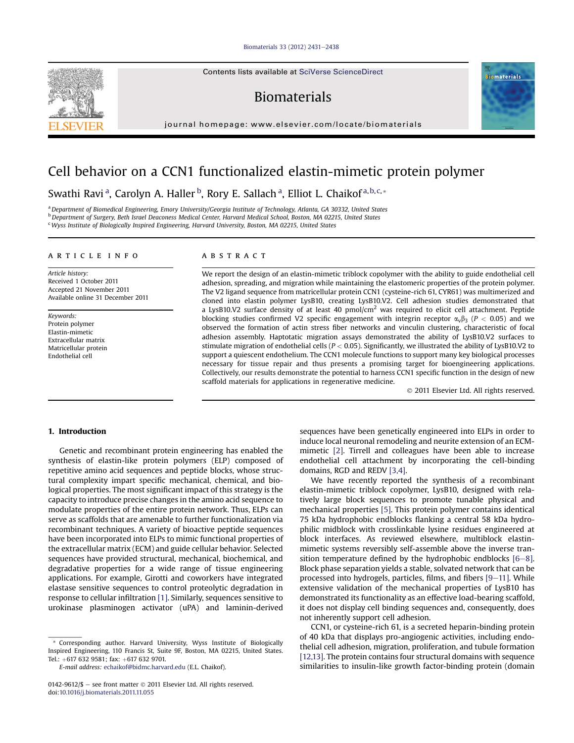#### Biomaterials 33 (2012) 2431-2438

## Biomaterials

journal homepage: www.elsevier.com/locate/biomaterials

# Cell behavior on a CCN1 functionalized elastin-mimetic protein polymer

Swathi Ravi<sup>a</sup>, Carolyn A. Haller <sup>b</sup>, Rory E. Sallach <sup>a</sup>, Elliot L. Chaikof <sup>a, b, c, \*</sup>

a Department of Biomedical Engineering, Emory University/Georgia Institute of Technology, Atlanta, GA 30332, United States bDepartment of Surgery, Beth Israel Deaconess Medical Center, Harvard Medical School, Boston, MA 02215, United States <sup>c</sup> Wyss Institute of Biologically Inspired Engineering, Harvard University, Boston, MA 02215, United States

#### article info

Article history: Received 1 October 2011 Accepted 21 November 2011 Available online 31 December 2011

Keywords: Protein polymer Elastin-mimetic Extracellular matrix Matricellular protein Endothelial cell

## **ABSTRACT**

We report the design of an elastin-mimetic triblock copolymer with the ability to guide endothelial cell adhesion, spreading, and migration while maintaining the elastomeric properties of the protein polymer. The V2 ligand sequence from matricellular protein CCN1 (cysteine-rich 61, CYR61) was multimerized and cloned into elastin polymer LysB10, creating LysB10.V2. Cell adhesion studies demonstrated that a LysB10.V2 surface density of at least 40 pmol/cm<sup>2</sup> was required to elicit cell attachment. Peptide blocking studies confirmed V2 specific engagement with integrin receptor  $\alpha_v\beta_3$  (P < 0.05) and we observed the formation of actin stress fiber networks and vinculin clustering, characteristic of focal adhesion assembly. Haptotatic migration assays demonstrated the ability of LysB10.V2 surfaces to stimulate migration of endothelial cells ( $P < 0.05$ ). Significantly, we illustrated the ability of LysB10.V2 to support a quiescent endothelium. The CCN1 molecule functions to support many key biological processes necessary for tissue repair and thus presents a promising target for bioengineering applications. Collectively, our results demonstrate the potential to harness CCN1 specific function in the design of new scaffold materials for applications in regenerative medicine.

- 2011 Elsevier Ltd. All rights reserved.

#### 1. Introduction

Genetic and recombinant protein engineering has enabled the synthesis of elastin-like protein polymers (ELP) composed of repetitive amino acid sequences and peptide blocks, whose structural complexity impart specific mechanical, chemical, and biological properties. The most significant impact of this strategy is the capacity to introduce precise changes in the amino acid sequence to modulate properties of the entire protein network. Thus, ELPs can serve as scaffolds that are amenable to further functionalization via recombinant techniques. A variety of bioactive peptide sequences have been incorporated into ELPs to mimic functional properties of the extracellular matrix (ECM) and guide cellular behavior. Selected sequences have provided structural, mechanical, biochemical, and degradative properties for a wide range of tissue engineering applications. For example, Girotti and coworkers have integrated elastase sensitive sequences to control proteolytic degradation in response to cellular infiltration [1]. Similarly, sequences sensitive to urokinase plasminogen activator (uPA) and laminin-derived

\* Corresponding author. Harvard University, Wyss Institute of Biologically Inspired Engineering, 110 Francis St, Suite 9F, Boston, MA 02215, United States. Tel.: +617 632 9581; fax: +617 632 9701.

E-mail address: echaikof@bidmc.harvard.edu (E.L. Chaikof).

sequences have been genetically engineered into ELPs in order to induce local neuronal remodeling and neurite extension of an ECMmimetic [2]. Tirrell and colleagues have been able to increase endothelial cell attachment by incorporating the cell-binding domains, RGD and REDV [3,4].

We have recently reported the synthesis of a recombinant elastin-mimetic triblock copolymer, LysB10, designed with relatively large block sequences to promote tunable physical and mechanical properties [5]. This protein polymer contains identical 75 kDa hydrophobic endblocks flanking a central 58 kDa hydrophilic midblock with crosslinkable lysine residues engineered at block interfaces. As reviewed elsewhere, multiblock elastinmimetic systems reversibly self-assemble above the inverse transition temperature defined by the hydrophobic endblocks  $[6-8]$ . Block phase separation yields a stable, solvated network that can be processed into hydrogels, particles, films, and fibers  $[9-11]$ . While extensive validation of the mechanical properties of LysB10 has demonstrated its functionality as an effective load-bearing scaffold, it does not display cell binding sequences and, consequently, does not inherently support cell adhesion.

CCN1, or cysteine-rich 61, is a secreted heparin-binding protein of 40 kDa that displays pro-angiogenic activities, including endothelial cell adhesion, migration, proliferation, and tubule formation [12,13]. The protein contains four structural domains with sequence similarities to insulin-like growth factor-binding protein (domain





<sup>0142-9612/\$ –</sup> see front matter © 2011 Elsevier Ltd. All rights reserved. doi:10.1016/j.biomaterials.2011.11.055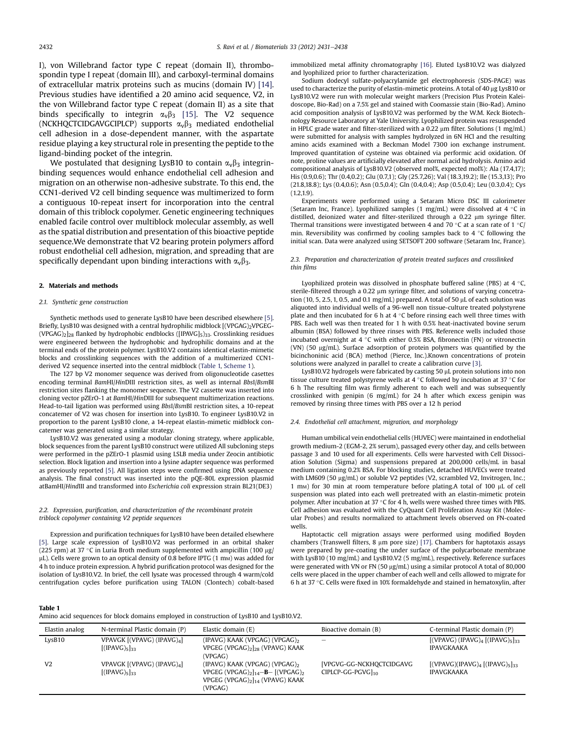I), von Willebrand factor type C repeat (domain II), thrombospondin type I repeat (domain III), and carboxyl-terminal domains of extracellular matrix proteins such as mucins (domain IV) [14]. Previous studies have identified a 20 amino acid sequence, V2, in the von Willebrand factor type C repeat (domain II) as a site that binds specifically to integrin  $\alpha_v \beta_3$  [15]. The V2 sequence (NCKHQCTCIDGAVGCIPLCP) supports  $\alpha_v \beta_3$  mediated endothelial cell adhesion in a dose-dependent manner, with the aspartate residue playing a key structural role in presenting the peptide to the ligand-binding pocket of the integrin.

We postulated that designing LysB10 to contain  $\alpha_v\beta_3$  integrinbinding sequences would enhance endothelial cell adhesion and migration on an otherwise non-adhesive substrate. To this end, the CCN1-derived V2 cell binding sequence was multimerized to form a contiguous 10-repeat insert for incorporation into the central domain of this triblock copolymer. Genetic engineering techniques enabled facile control over multiblock molecular assembly, as well as the spatial distribution and presentation of this bioactive peptide sequence.We demonstrate that V2 bearing protein polymers afford robust endothelial cell adhesion, migration, and spreading that are specifically dependant upon binding interactions with  $\alpha_v\beta_3$ .

#### 2. Materials and methods

#### 2.1. Synthetic gene construction

Synthetic methods used to generate LysB10 have been described elsewhere [5]. Briefly, LysB10 was designed with a central hydrophilic midblock [(VPGAG)2VPGEG- $(VPGAG)_2$ <sub>28</sub> flanked by hydrophobic endblocks ([IPAVG]<sub>5</sub>)<sub>33</sub>. Crosslinking residues were engineered between the hydrophobic and hydrophilic domains and at the terminal ends of the protein polymer. LysB10.V2 contains identical elastin-mimetic blocks and crosslinking sequences with the addition of a multimerized CCN1 derived V2 sequence inserted into the central midblock (Table 1, Scheme 1).

The 127 bp V2 monomer sequence was derived from oligonucleotide casettes encoding terminal BamHI/HinDIII restriction sites, as well as internal BbsI/BsmBI restriction sites flanking the monomer sequence. The V2 cassette was inserted into cloning vector pZErO-1 at BamHI/HinDIII for subsequent multimerization reactions. Head-to-tail ligation was performed using BbsI/BsmBI restriction sites, a 10-repeat concatemer of V2 was chosen for insertion into LysB10. To engineer LysB10.V2 in proportion to the parent LysB10 clone, a 14-repeat elastin-mimetic midblock concatemer was generated using a similar strategy.

LysB10.V2 was generated using a modular cloning strategy, where applicable, block sequences from the parent LysB10 construct were utilized All subcloning steps were performed in the pZErO-1 plasmid using LSLB media under Zeocin antibiotic selection. Block ligation and insertion into a lysine adapter sequence was performed as previously reported [5]. All ligation steps were confirmed using DNA sequence analysis. The final construct was inserted into the pQE-80L expression plasmid atBamHI/HindIII and transformed into Escherichia coli expression strain BL21(DE3)

2.2. Expression, purification, and characterization of the recombinant protein triblock copolymer containing V2 peptide sequences

Expression and purification techniques for LysB10 have been detailed elsewhere [5]. Large scale expression of LysB10.V2 was performed in an orbital shaker (225 rpm) at 37 °C in Luria Broth medium supplemented with ampicillin (100  $\mu$ g/ µL). Cells were grown to an optical density of 0.8 before IPTG (1 mm) was added for 4 h to induce protein expression. A hybrid purification protocol was designed for the isolation of LysB10.V2. In brief, the cell lysate was processed through 4 warm/cold centrifugation cycles before purification using TALON (Clontech) cobalt-based immobilized metal affinity chromatography [16]. Eluted LysB10.V2 was dialyzed and lyophilized prior to further characterization.

Sodium dodecyl sulfate-polyacrylamide gel electrophoresis (SDS-PAGE) was used to characterize the purity of elastin-mimetic proteins. A total of  $40 \mu g$  LysB10 or LysB10.V2 were run with molecular weight markers (Precision Plus Protein Kaleidoscope, Bio-Rad) on a 7.5% gel and stained with Coomassie stain (Bio-Rad). Amino acid composition analysis of LysB10.V2 was performed by the W.M. Keck Biotechnology Resource Laboratory at Yale University. Lyophilized protein was resuspended in HPLC grade water and filter-sterilized with a 0.22  $\mu$ m filter. Solutions (1 mg/mL) were submitted for analysis with samples hydrolyzed in 6N HCl and the resulting amino acids examined with a Beckman Model 7300 ion exchange instrument. Improved quantitation of cysteine was obtained via performic acid oxidation. Of note, proline values are artificially elevated after normal acid hydrolysis. Amino acid compositional analysis of LysB10.V2 (observed mol%, expected mol%): Ala (17.4,17); His (0.9,0.6); Thr (0.4,0.2); Glu (0.7,1); Gly (25.7,26); Val (18.3,19.2); Ile (15.3,13); Pro (21.8,18.8); Lys (0.4,0.6); Asn (0.5,0.4); Gln (0.4,0.4); Asp (0.5,0.4); Leu (0.3,0.4); Cys  $(1.2, 1.9)$ .

Experiments were performed using a Setaram Micro DSC III calorimeter (Setaram Inc, France). Lyophilized samples (1 mg/mL) were dissolved at 4 °C in distilled, deionized water and filter-sterilized through a 0.22 µm syringe filter. Thermal transitions were investigated between 4 and 70 °C at a scan rate of 1 °C/ min. Reversibility was confirmed by cooling samples back to  $4 \degree C$  following the initial scan. Data were analyzed using SETSOFT 200 software (Setaram Inc, France).

#### 2.3. Preparation and characterization of protein treated surfaces and crosslinked thin films

Lyophilized protein was dissolved in phosphate buffered saline (PBS) at 4  $^{\circ}$ C, sterile-filtered through a 0.22 µm syringe filter, and solutions of varying concetration (10, 5, 2.5, 1, 0.5, and 0.1 mg/mL) prepared. A total of 50  $\mu$ L of each solution was aliquoted into individual wells of a 96-well non tissue-culture treated polystyrene plate and then incubated for 6 h at 4  $\degree$ C before rinsing each well three times with PBS. Each well was then treated for 1 h with 0.5% heat-inactivated bovine serum albumin (BSA) followed by three rinses with PBS. Reference wells included those incubated overnight at  $4 °C$  with either 0.5% BSA, fibronectin (FN) or vitronectin (VN)  $(50 \text{ µg/mL})$ . Surface adsorption of protein polymers was quantified by the bicinchoninic acid (BCA) method (Pierce, Inc.).Known concentrations of protein solutions were analyzed in parallel to create a calibration curve [3].

LysB10.V2 hydrogels were fabricated by casting 50 µL protein solutions into non tissue culture treated polystyrene wells at 4 °C followed by incubation at 37 °C for 6 h The resulting film was firmly adherent to each well and was subsequently crosslinked with genipin (6 mg/mL) for 24 h after which excess genipin was removed by rinsing three times with PBS over a 12 h period

#### 2.4. Endothelial cell attachment, migration, and morphology

Human umbilical vein endothelial cells (HUVEC) were maintained in endothelial growth medium-2 (EGM-2, 2% serum), passaged every other day, and cells between passage 3 and 10 used for all experiments. Cells were harvested with Cell Dissociation Solution (Sigma) and suspensions prepared at 200,000 cells/mL in basal medium containing 0.2% BSA. For blocking studies, detached HUVECs were treated with LM609 (50  $\mu$ g/mL) or soluble V2 peptides (V2, scrambled V2, Invitrogen, Inc.; 1 mm) for 30 min at room temperature before plating.A total of 100  $\mu$ L of cell suspension was plated into each well pretreated with an elastin-mimetic protein polymer. After incubation at 37 °C for 4 h, wells were washed three times with PBS. Cell adhesion was evaluated with the CyQuant Cell Proliferation Assay Kit (Molecular Probes) and results normalized to attachment levels observed on FN-coated wells.

Haptotactic cell migration assays were performed using modified Boyden chambers (Transwell filters, 8  $\mu$ m pore size) [17]. Chambers for haptotaxis assays were prepared by pre-coating the under surface of the polycarbonate membrane with LysB10 (10 mg/mL) and LysB10.V2 (5 mg/mL), respectively. Reference surfaces were generated with VN or FN (50 µg/mL) using a similar protocol A total of 80,000 cells were placed in the upper chamber of each well and cells allowed to migrate for 6 h at 37 °C. Cells were fixed in 10% formaldehyde and stained in hematoxylin, after

|--|

Amino acid sequences for block domains employed in construction of LysB10 and LysB10.V2.

| Elastin analog | N-terminal Plastic domain (P)                                      | Elastic domain (E)                                                                                                                                                             | Bioactive domain (B)                                       | C-terminal Plastic domain (P)                         |
|----------------|--------------------------------------------------------------------|--------------------------------------------------------------------------------------------------------------------------------------------------------------------------------|------------------------------------------------------------|-------------------------------------------------------|
| LysB10         | VPAVGK [(VPAVG) (IPAVG)4]<br>[(IPAVG) <sub>5</sub> ] <sub>33</sub> | (IPAVG) KAAK (VPGAG) (VPGAG)<br>VPGEG (VPGAG)2 28 (VPAVG) KAAK<br>(VPGAG)                                                                                                      | $\overline{\phantom{a}}$                                   | $[(VPAVG) (IPAVG)4 [(IPAVG)5]_{33}]$<br>IPAVGKAAKA    |
| V <sub>2</sub> | VPAVGK [(VPAVG) (IPAVG)4]<br>[(IPAVG) <sub>5</sub> ] <sub>33</sub> | $(IPAVG) KAAK (VPGAG) (VPGAG)_{2}$<br>VPGEG (VPGAG) <sub>2</sub> $]$ <sub>14</sub> - <b>B</b> - [(VPGAG) <sub>2</sub><br>VPGEG (VPGAG) <sub>2</sub> 14 (VPAVG) KAAK<br>(VPGAG) | [VPGVG-GG-NCKHOCTCIDGAVG<br>$CIPLCP-GG-PGVG$ <sub>10</sub> | $[(VPAVG)(IPAVG)4 [(IPAVG)5]33]$<br><b>IPAVGKAAKA</b> |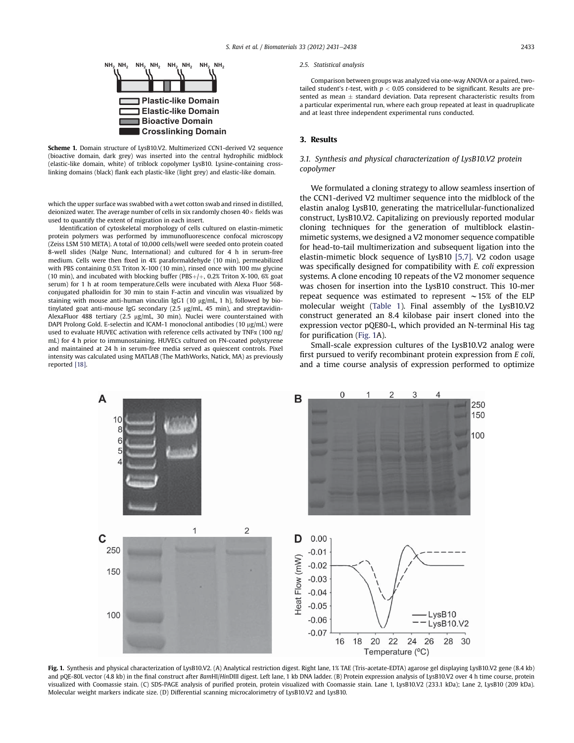

Scheme 1. Domain structure of LysB10.V2. Multimerized CCN1-derived V2 sequence (bioactive domain, dark grey) was inserted into the central hydrophilic midblock (elastic-like domain, white) of triblock copolymer LysB10. Lysine-containing crosslinking domains (black) flank each plastic-like (light grey) and elastic-like domain.

which the upper surface was swabbed with a wet cotton swab and rinsed in distilled, deionized water. The average number of cells in six randomly chosen  $40\times$  fields was used to quantify the extent of migration in each insert.

Identification of cytoskeletal morphology of cells cultured on elastin-mimetic protein polymers was performed by immunofluorescence confocal microscopy (Zeiss LSM 510 META). A total of 10,000 cells/well were seeded onto protein coated 8-well slides (Nalge Nunc, International) and cultured for 4 h in serum-free medium. Cells were then fixed in 4% paraformaldehyde (10 min), permeabilized with PBS containing  $0.5\%$  Triton X-100 (10 min), rinsed once with 100 mm glycine (10 min), and incubated with blocking buffer (PBS $+/+$ , 0.2% Triton X-100, 6% goat serum) for 1 h at room temperature.Cells were incubated with Alexa Fluor 568 conjugated phalloidin for 30 min to stain F-actin and vinculin was visualized by staining with mouse anti-human vinculin IgG1 (10  $\mu$ g/mL, 1 h), followed by biotinylated goat anti-mouse IgG secondary (2.5 µg/mL, 45 min), and streptavidin-AlexaFluor 488 tertiary (2.5 µg/mL, 30 min). Nuclei were counterstained with DAPI Prolong Gold. E-selectin and ICAM-1 monoclonal antibodies (10  $\mu$ g/mL) were used to evaluate HUVEC activation with reference cells activated by TNF $\alpha$  (100 ng/ mL) for 4 h prior to immunostaining. HUVECs cultured on FN-coated polystyrene and maintained at 24 h in serum-free media served as quiescent controls. Pixel intensity was calculated using MATLAB (The MathWorks, Natick, MA) as previously reported [18].

#### 2.5. Statistical analysis

Comparison between groups was analyzed via one-way ANOVA or a paired, twotailed student's t-test, with  $p < 0.05$  considered to be significant. Results are presented as mean  $\pm$  standard deviation. Data represent characteristic results from a particular experimental run, where each group repeated at least in quadruplicate and at least three independent experimental runs conducted.

#### 3. Results

## 3.1. Synthesis and physical characterization of LysB10.V2 protein copolymer

We formulated a cloning strategy to allow seamless insertion of the CCN1-derived V2 multimer sequence into the midblock of the elastin analog LysB10, generating the matricellular-functionalized construct, LysB10.V2. Capitalizing on previously reported modular cloning techniques for the generation of multiblock elastinmimetic systems, we designed a V2 monomer sequence compatible for head-to-tail multimerization and subsequent ligation into the elastin-mimetic block sequence of LysB10 [5,7]. V2 codon usage was specifically designed for compatibility with E. coli expression systems. A clone encoding 10 repeats of the V2 monomer sequence was chosen for insertion into the LysB10 construct. This 10-mer repeat sequence was estimated to represent  $\sim$ 15% of the ELP molecular weight (Table 1). Final assembly of the LysB10.V2 construct generated an 8.4 kilobase pair insert cloned into the expression vector pQE80-L, which provided an N-terminal His tag for purification (Fig. 1A).

Small-scale expression cultures of the LysB10.V2 analog were first pursued to verify recombinant protein expression from E coli, and a time course analysis of expression performed to optimize



Fig. 1. Synthesis and physical characterization of LysB10.V2. (A) Analytical restriction digest. Right lane, 1% TAE (Tris-acetate-EDTA) agarose gel displaying LysB10.V2 gene (8.4 kb) and pQE-80L vector (4.8 kb) in the final construct after BamHI/HinDIII digest. Left lane, 1 kb DNA ladder. (B) Protein expression analysis of LysB10.V2 over 4 h time course, protein visualized with Coomassie stain. (C) SDS-PAGE analysis of purified protein, protein visualized with Coomassie stain. Lane 1, LysB10.V2 (233.1 kDa); Lane 2, LysB10 (209 kDa). Molecular weight markers indicate size. (D) Differential scanning microcalorimetry of LysB10.V2 and LysB10.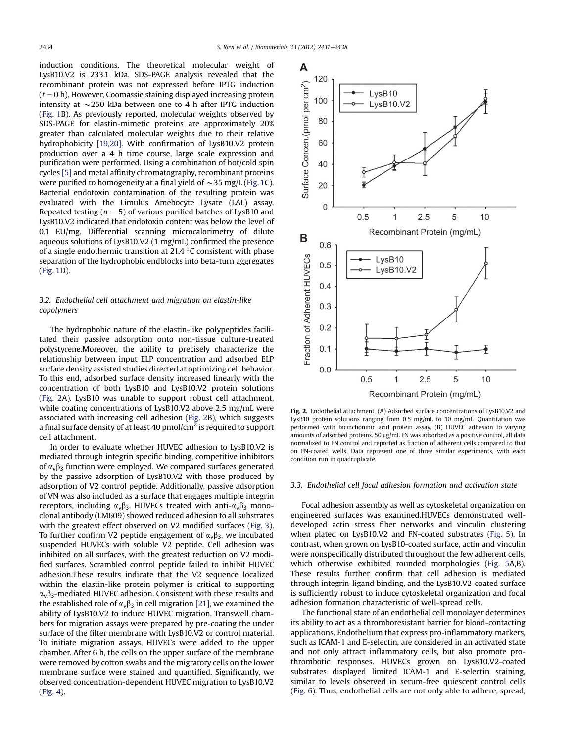induction conditions. The theoretical molecular weight of LysB10.V2 is 233.1 kDa. SDS-PAGE analysis revealed that the recombinant protein was not expressed before IPTG induction  $(t = 0 h)$ . However, Coomassie staining displayed increasing protein intensity at  $\sim$ 250 kDa between one to 4 h after IPTG induction (Fig. 1B). As previously reported, molecular weights observed by SDS-PAGE for elastin-mimetic proteins are approximately 20% greater than calculated molecular weights due to their relative hydrophobicity [19,20]. With confirmation of LysB10.V2 protein production over a 4 h time course, large scale expression and purification were performed. Using a combination of hot/cold spin cycles [5] and metal affinity chromatography, recombinant proteins were purified to homogeneity at a final yield of  $\sim$  35 mg/L (Fig. 1C). Bacterial endotoxin contamination of the resulting protein was evaluated with the Limulus Amebocyte Lysate (LAL) assay. Repeated testing ( $n = 5$ ) of various purified batches of LysB10 and LysB10.V2 indicated that endotoxin content was below the level of 0.1 EU/mg. Differential scanning microcalorimetry of dilute aqueous solutions of LysB10.V2 (1 mg/mL) confirmed the presence of a single endothermic transition at 21.4  $^{\circ}$ C consistent with phase separation of the hydrophobic endblocks into beta-turn aggregates (Fig. 1D).

## 3.2. Endothelial cell attachment and migration on elastin-like copolymers

The hydrophobic nature of the elastin-like polypeptides facilitated their passive adsorption onto non-tissue culture-treated polystyrene.Moreover, the ability to precisely characterize the relationship between input ELP concentration and adsorbed ELP surface density assisted studies directed at optimizing cell behavior. To this end, adsorbed surface density increased linearly with the concentration of both LysB10 and LysB10.V2 protein solutions (Fig. 2A). LysB10 was unable to support robust cell attachment, while coating concentrations of LysB10.V2 above 2.5 mg/mL were associated with increasing cell adhesion (Fig. 2B), which suggests a final surface density of at least 40  $pmol/cm<sup>2</sup>$  is required to support cell attachment.

In order to evaluate whether HUVEC adhesion to LysB10.V2 is mediated through integrin specific binding, competitive inhibitors of  $\alpha$ <sub>v</sub> $\beta$ <sub>3</sub> function were employed. We compared surfaces generated by the passive adsorption of LysB10.V2 with those produced by adsorption of V2 control peptide. Additionally, passive adsorption of VN was also included as a surface that engages multiple integrin receptors, including  $\alpha_v\beta_3$ . HUVECs treated with anti- $\alpha_v\beta_3$  monoclonal antibody (LM609) showed reduced adhesion to all substrates with the greatest effect observed on V2 modified surfaces (Fig. 3). To further confirm V2 peptide engagement of  $\alpha_v\beta_3$ , we incubated suspended HUVECs with soluble V2 peptide. Cell adhesion was inhibited on all surfaces, with the greatest reduction on V2 modified surfaces. Scrambled control peptide failed to inhibit HUVEC adhesion.These results indicate that the V2 sequence localized within the elastin-like protein polymer is critical to supporting  $\alpha_{\rm v}\beta_3$ -mediated HUVEC adhesion. Consistent with these results and the established role of  $\alpha_{\nu}\beta_3$  in cell migration [21], we examined the ability of LysB10.V2 to induce HUVEC migration. Transwell chambers for migration assays were prepared by pre-coating the under surface of the filter membrane with LysB10.V2 or control material. To initiate migration assays, HUVECs were added to the upper chamber. After 6 h, the cells on the upper surface of the membrane were removed by cotton swabs and the migratory cells on the lower membrane surface were stained and quantified. Significantly, we observed concentration-dependent HUVEC migration to LysB10.V2 (Fig. 4).



Fig. 2. Endothelial attachment. (A) Adsorbed surface concentrations of LysB10.V2 and LysB10 protein solutions ranging from 0.5 mg/mL to 10 mg/mL. Quantitation was performed with bicinchoninic acid protein assay. (B) HUVEC adhesion to varying amounts of adsorbed proteins.  $50 \mu g/mL$  FN was adsorbed as a positive control, all data normalized to FN control and reported as fraction of adherent cells compared to that on FN-coated wells. Data represent one of three similar experiments, with each condition run in quadruplicate.

### 3.3. Endothelial cell focal adhesion formation and activation state

Focal adhesion assembly as well as cytoskeletal organization on engineered surfaces was examined.HUVECs demonstrated welldeveloped actin stress fiber networks and vinculin clustering when plated on LysB10.V2 and FN-coated substrates (Fig. 5). In contrast, when grown on LysB10-coated surface, actin and vinculin were nonspecifically distributed throughout the few adherent cells, which otherwise exhibited rounded morphologies (Fig. 5A,B). These results further confirm that cell adhesion is mediated through integrin-ligand binding, and the LysB10.V2-coated surface is sufficiently robust to induce cytoskeletal organization and focal adhesion formation characteristic of well-spread cells.

The functional state of an endothelial cell monolayer determines its ability to act as a thromboresistant barrier for blood-contacting applications. Endothelium that express pro-inflammatory markers, such as ICAM-1 and E-selectin, are considered in an activated state and not only attract inflammatory cells, but also promote prothrombotic responses. HUVECs grown on LysB10.V2-coated substrates displayed limited ICAM-1 and E-selectin staining, similar to levels observed in serum-free quiescent control cells (Fig. 6). Thus, endothelial cells are not only able to adhere, spread,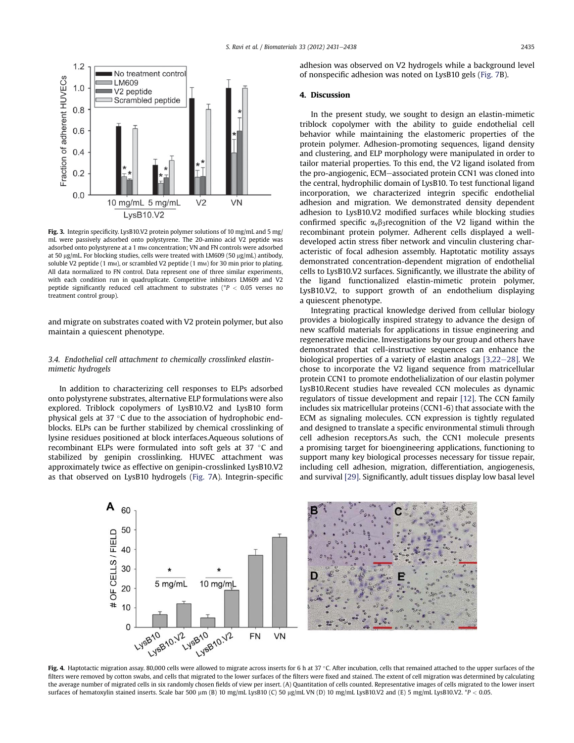

Fig. 3. Integrin specificity. LysB10.V2 protein polymer solutions of 10 mg/mL and 5 mg/ mL were passively adsorbed onto polystyrene. The 20-amino acid V2 peptide was adsorbed onto polystyrene at a 1 mm concentration; VN and FN controls were adsorbed at 50  $\mu$ g/mL. For blocking studies, cells were treated with LM609 (50  $\mu$ g/mL) antibody, soluble V2 peptide (1 mm), or scrambled V2 peptide (1 mm) for 30 min prior to plating. All data normalized to FN control. Data represent one of three similar experiments, with each condition run in quadruplicate. Competitive inhibitors LM609 and V2 peptide significantly reduced cell attachment to substrates ( $P < 0.05$  verses no treatment control group).

and migrate on substrates coated with V2 protein polymer, but also maintain a quiescent phenotype.

## 3.4. Endothelial cell attachment to chemically crosslinked elastinmimetic hydrogels

In addition to characterizing cell responses to ELPs adsorbed onto polystyrene substrates, alternative ELP formulations were also explored. Triblock copolymers of LysB10.V2 and LysB10 form physical gels at 37  $\,^{\circ}$ C due to the association of hydrophobic endblocks. ELPs can be further stabilized by chemical crosslinking of lysine residues positioned at block interfaces.Aqueous solutions of recombinant ELPs were formulated into soft gels at 37  $^{\circ}$ C and stabilized by genipin crosslinking. HUVEC attachment was approximately twice as effective on genipin-crosslinked LysB10.V2 as that observed on LysB10 hydrogels (Fig. 7A). Integrin-specific

adhesion was observed on V2 hydrogels while a background level of nonspecific adhesion was noted on LysB10 gels (Fig. 7B).

## 4. Discussion

In the present study, we sought to design an elastin-mimetic triblock copolymer with the ability to guide endothelial cell behavior while maintaining the elastomeric properties of the protein polymer. Adhesion-promoting sequences, ligand density and clustering, and ELP morphology were manipulated in order to tailor material properties. To this end, the V2 ligand isolated from the pro-angiogenic, ECM-associated protein CCN1 was cloned into the central, hydrophilic domain of LysB10. To test functional ligand incorporation, we characterized integrin specific endothelial adhesion and migration. We demonstrated density dependent adhesion to LysB10.V2 modified surfaces while blocking studies confirmed specific  $\alpha_{v}\beta_{3}$ recognition of the V2 ligand within the recombinant protein polymer. Adherent cells displayed a welldeveloped actin stress fiber network and vinculin clustering characteristic of focal adhesion assembly. Haptotatic motility assays demonstrated concentration-dependent migration of endothelial cells to LysB10.V2 surfaces. Significantly, we illustrate the ability of the ligand functionalized elastin-mimetic protein polymer, LysB10.V2, to support growth of an endothelium displaying a quiescent phenotype.

Integrating practical knowledge derived from cellular biology provides a biologically inspired strategy to advance the design of new scaffold materials for applications in tissue engineering and regenerative medicine. Investigations by our group and others have demonstrated that cell-instructive sequences can enhance the biological properties of a variety of elastin analogs  $[3,22-28]$ . We chose to incorporate the V2 ligand sequence from matricellular protein CCN1 to promote endothelialization of our elastin polymer LysB10.Recent studies have revealed CCN molecules as dynamic regulators of tissue development and repair [12]. The CCN family includes six matricellular proteins (CCN1-6) that associate with the ECM as signaling molecules. CCN expression is tightly regulated and designed to translate a specific environmental stimuli through cell adhesion receptors.As such, the CCN1 molecule presents a promising target for bioengineering applications, functioning to support many key biological processes necessary for tissue repair, including cell adhesion, migration, differentiation, angiogenesis, and survival [29]. Significantly, adult tissues display low basal level



Fig. 4. Haptotactic migration assay. 80,000 cells were allowed to migrate across inserts for 6 h at 37 °C. After incubation, cells that remained attached to the upper surfaces of the filters were removed by cotton swabs, and cells that migrated to the lower surfaces of the filters were fixed and stained. The extent of cell migration was determined by calculating the average number of migrated cells in six randomly chosen fields of view per insert. (A) Quantitation of cells counted. Representative images of cells migrated to the lower insert surfaces of hematoxylin stained inserts. Scale bar 500 µm (B) 10 mg/mL LysB10 (C) 50 µg/mL VN (D) 10 mg/mL LysB10.V2 and (E) 5 mg/mL LysB10.V2. \*P < 0.05.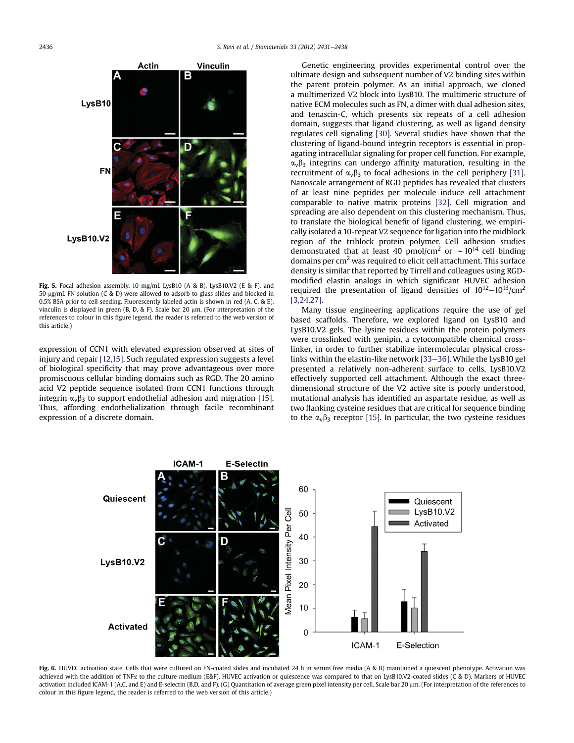

Fig. 5. Focal adhesion assembly. 10 mg/mL LysB10 (A & B), LysB10.V2 (E & F), and 50 µg/mL FN solution (C & D) were allowed to adsorb to glass slides and blocked in 0.5% BSA prior to cell seeding. Fluorescently labeled actin is shown in red (A, C, & E), vinculin is displayed in green (B, D, & F). Scale bar 20  $\mu$ m. (For interpretation of the references to colour in this figure legend, the reader is referred to the web version of this article.)

expression of CCN1 with elevated expression observed at sites of injury and repair [12,15]. Such regulated expression suggests a level of biological specificity that may prove advantageous over more promiscuous cellular binding domains such as RGD. The 20 amino acid V2 peptide sequence isolated from CCN1 functions through integrin  $\alpha_v\beta_3$  to support endothelial adhesion and migration [15]. Thus, affording endothelialization through facile recombinant expression of a discrete domain.

Genetic engineering provides experimental control over the ultimate design and subsequent number of V2 binding sites within the parent protein polymer. As an initial approach, we cloned a multimerized V2 block into LysB10. The multimeric structure of native ECM molecules such as FN, a dimer with dual adhesion sites, and tenascin-C, which presents six repeats of a cell adhesion domain, suggests that ligand clustering, as well as ligand density regulates cell signaling [30]. Several studies have shown that the clustering of ligand-bound integrin receptors is essential in propagating intracellular signaling for proper cell function. For example,  $\alpha_{\nu}\beta_3$  integrins can undergo affinity maturation, resulting in the recruitment of  $\alpha_v\beta_3$  to focal adhesions in the cell periphery [31]. Nanoscale arrangement of RGD peptides has revealed that clusters of at least nine peptides per molecule induce cell attachment comparable to native matrix proteins [32]. Cell migration and spreading are also dependent on this clustering mechanism. Thus, to translate the biological benefit of ligand clustering, we empirically isolated a 10-repeat V2 sequence for ligation into the midblock region of the triblock protein polymer. Cell adhesion studies demonstrated that at least 40 pmol/cm<sup>2</sup> or  $\sim 10^{14}$  cell binding domains per  $\text{cm}^2$  was required to elicit cell attachment. This surface density is similar that reported by Tirrell and colleagues using RGDmodified elastin analogs in which significant HUVEC adhesion required the presentation of ligand densities of  $10^{12}-10^{13}/\text{cm}^2$ [3,24,27].

Many tissue engineering applications require the use of gel based scaffolds. Therefore, we explored ligand on LysB10 and LysB10.V2 gels. The lysine residues within the protein polymers were crosslinked with genipin, a cytocompatible chemical crosslinker, in order to further stabilize intermolecular physical crosslinks within the elastin-like network [33–36]. While the LysB10 gel presented a relatively non-adherent surface to cells, LysB10.V2 effectively supported cell attachment. Although the exact threedimensional structure of the V2 active site is poorly understood, mutational analysis has identified an aspartate residue, as well as two flanking cysteine residues that are critical for sequence binding to the  $\alpha_v \beta_3$  receptor [15]. In particular, the two cysteine residues



Fig. 6. HUVEC activation state. Cells that were cultured on FN-coated slides and incubated 24 h in serum free media (A & B) maintained a quiescent phenotype. Activation was achieved with the addition of TNFa to the culture medium (E&F). HUVEC activation or quiescence was compared to that on LysB10.V2-coated slides (C & D). Markers of HUVEC activation included ICAM-1 (A,C, and E) and E-selectin (B,D, and F). (G) Quantitation of average green pixel intensity per cell. Scale bar 20 µm. (For interpretation of the references to colour in this figure legend, the reader is referred to the web version of this article.)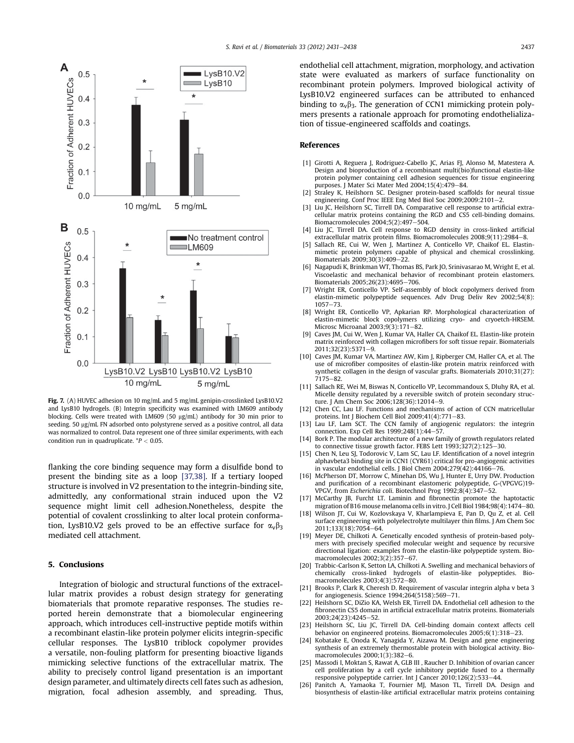

Fig. 7. (A) HUVEC adhesion on 10 mg/mL and 5 mg/mL genipin-crosslinked LysB10.V2 and LysB10 hydrogels. (B) Integrin specificity was examined with LM609 antibody blocking. Cells were treated with LM609 (50 µg/mL) antibody for 30 min prior to seeding. 50 µg/mL FN adsorbed onto polystyrene served as a positive control, all data was normalized to control. Data represent one of three similar experiments, with each condition run in quadruplicate.  $P < 0.05$ .

flanking the core binding sequence may form a disulfide bond to present the binding site as a loop [37,38]. If a tertiary looped structure is involved in V2 presentation to the integrin-binding site, admittedly, any conformational strain induced upon the V2 sequence might limit cell adhesion.Nonetheless, despite the potential of covalent crosslinking to alter local protein conformation, LysB10.V2 gels proved to be an effective surface for  $\alpha_v\beta_3$ mediated cell attachment.

## 5. Conclusions

Integration of biologic and structural functions of the extracellular matrix provides a robust design strategy for generating biomaterials that promote reparative responses. The studies reported herein demonstrate that a biomolecular engineering approach, which introduces cell-instructive peptide motifs within a recombinant elastin-like protein polymer elicits integrin-specific cellular responses. The LysB10 triblock copolymer provides a versatile, non-fouling platform for presenting bioactive ligands mimicking selective functions of the extracellular matrix. The ability to precisely control ligand presentation is an important design parameter, and ultimately directs cell fates such as adhesion, migration, focal adhesion assembly, and spreading. Thus, endothelial cell attachment, migration, morphology, and activation state were evaluated as markers of surface functionality on recombinant protein polymers. Improved biological activity of LysB10.V2 engineered surfaces can be attributed to enhanced binding to  $\alpha_{\nu}\beta_3$ . The generation of CCN1 mimicking protein polymers presents a rationale approach for promoting endothelialization of tissue-engineered scaffolds and coatings.

#### References

- [1] Girotti A, Reguera J, Rodriguez-Cabello JC, Arias FJ, Alonso M, Matestera A. Design and bioproduction of a recombinant multi(bio)functional elastin-like protein polymer containing cell adhesion sequences for tissue engineering purposes. J Mater Sci Mater Med 2004;15(4):479-84.
- Straley K, Heilshorn SC. Designer protein-based scaffolds for neural tissue engineering. Conf Proc IEEE Eng Med Biol Soc 2009;2009:2101-2.
- Liu JC, Heilshorn SC, Tirrell DA. Comparative cell response to artificial extracellular matrix proteins containing the RGD and CS5 cell-binding domains. Biomacromolecules  $2004;5(2):497-504$
- [4] Liu JC, Tirrell DA. Cell response to RGD density in cross-linked artificial extracellular matrix protein films. Biomacromolecules 2008;9(11):2984-8.
- Sallach RE, Cui W, Wen J, Martinez A, Conticello VP, Chaikof EL. Elastinmimetic protein polymers capable of physical and chemical crosslinking. Biomaterials 2009;30(3):409-22.
- [6] Nagapudi K, Brinkman WT, Thomas BS, Park JO, Srinivasarao M, Wright E, et al. Viscoelastic and mechanical behavior of recombinant protein elastomers. Biomaterials 2005;26(23):4695-706.
- [7] Wright ER, Conticello VP. Self-assembly of block copolymers derived from elastin-mimetic polypeptide sequences. Adv Drug Deliv Rev 2002;54(8):  $1057 - 73.$
- [8] Wright ER, Conticello VP, Apkarian RP. Morphological characterization of elastin-mimetic block copolymers utilizing cryo- and cryoetch-HRSEM. Microsc Microanal 2003;9(3):171-82.
- Caves JM, Cui W, Wen J, Kumar VA, Haller CA, Chaikof EL. Elastin-like protein matrix reinforced with collagen microfibers for soft tissue repair. Biomaterials 2011;32(23):5371-9.
- [10] Caves JM, Kumar VA, Martinez AW, Kim J, Ripberger CM, Haller CA, et al. The use of microfiber composites of elastin-like protein matrix reinforced with synthetic collagen in the design of vascular grafts. Biomaterials 2010;31(27): 7175-82.
- [11] Sallach RE, Wei M, Biswas N, Conticello VP, Lecommandoux S, Dluhy RA, et al. Micelle density regulated by a reversible switch of protein secondary structure. J Am Chem Soc 2006;128(36):12014-9.
- [12] Chen CC, Lau LF. Functions and mechanisms of action of CCN matricellular proteins. Int J Biochem Cell Biol  $2009;41(4):771-83$ .
- [13] Lau LF, Lam SCT. The CCN family of angiogenic regulators: the integrin connection. Exp Cell Res  $1999;248(1):44-57$ .
- [14] Bork P. The modular architecture of a new family of growth regulators related to connective tissue growth factor. FEBS Lett  $1993;327(2):125-30$ .
- [15] Chen N, Leu SJ, Todorovic V, Lam SC, Lau LF. Identification of a novel integrin alphavbeta3 binding site in CCN1 (CYR61) critical for pro-angiogenic activities in vascular endothelial cells. J Biol Chem  $2004;279(42):44166-76$ .
- [16] McPherson DT, Morrow C, Minehan DS, Wu J, Hunter E, Urry DW. Production and purification of a recombinant elastomeric polypeptide, G-(VPGVG)19- VPGV, from Escherichia coli. Biotechnol Prog 1992;8(4):347-52.
- [17] McCarthy JB, Furcht LT. Laminin and fibronectin promote the haptotactic migration of B16 mouse melanoma cells in vitro. J Cell Biol 1984;98(4):1474-80.
- [18] Wilson JT, Cui W, Kozlovskaya V, Kharlampieva E, Pan D, Qu Z, et al. Cell surface engineering with polyelectrolyte multilayer thin films. J Am Chem Soc 2011:133(18):7054-64.
- [19] Meyer DE, Chilkoti A. Genetically encoded synthesis of protein-based polymers with precisely specified molecular weight and sequence by recursive directional ligation: examples from the elastin-like polypeptide system. Biomacromolecules 2002:3(2):357-67.
- [20] Trabbic-Carlson K, Setton LA, Chilkoti A. Swelling and mechanical behaviors of chemically cross-linked hydrogels of elastin-like polypeptides. Biomacromolecules 2003:4(3):572-80.
- [21] Brooks P, Clark R, Cheresh D. Requirement of vascular integrin alpha v beta 3 for angiogenesis. Science 1994;264(5158):569-71.
- [22] Heilshorn SC, DiZio KA, Welsh ER, Tirrell DA. Endothelial cell adhesion to the fibronectin CS5 domain in artificial extracellular matrix proteins. Biomaterials 2003:24(23):4245-52.
- [23] Heilshorn SC, Liu JC, Tirrell DA. Cell-binding domain context affects cell behavior on engineered proteins. Biomacromolecules 2005;6(1):318-23.
- [24] Kobatake E, Onoda K, Yanagida Y, Aizawa M. Design and gene engineering synthesis of an extremely thermostable protein with biological activity. Biomacromolecules 2000;1(3):382-6.
- [25] Massodi I, Moktan S, Rawat A, GLB III , Raucher D. Inhibition of ovarian cancer cell proliferation by a cell cycle inhibitory peptide fused to a thermally responsive polypeptide carrier. Int J Cancer 2010;126(2):533-44.
- [26] Panitch A, Yamaoka T, Fournier MJ, Mason TL, Tirrell DA. Design and biosynthesis of elastin-like artificial extracellular matrix proteins containing